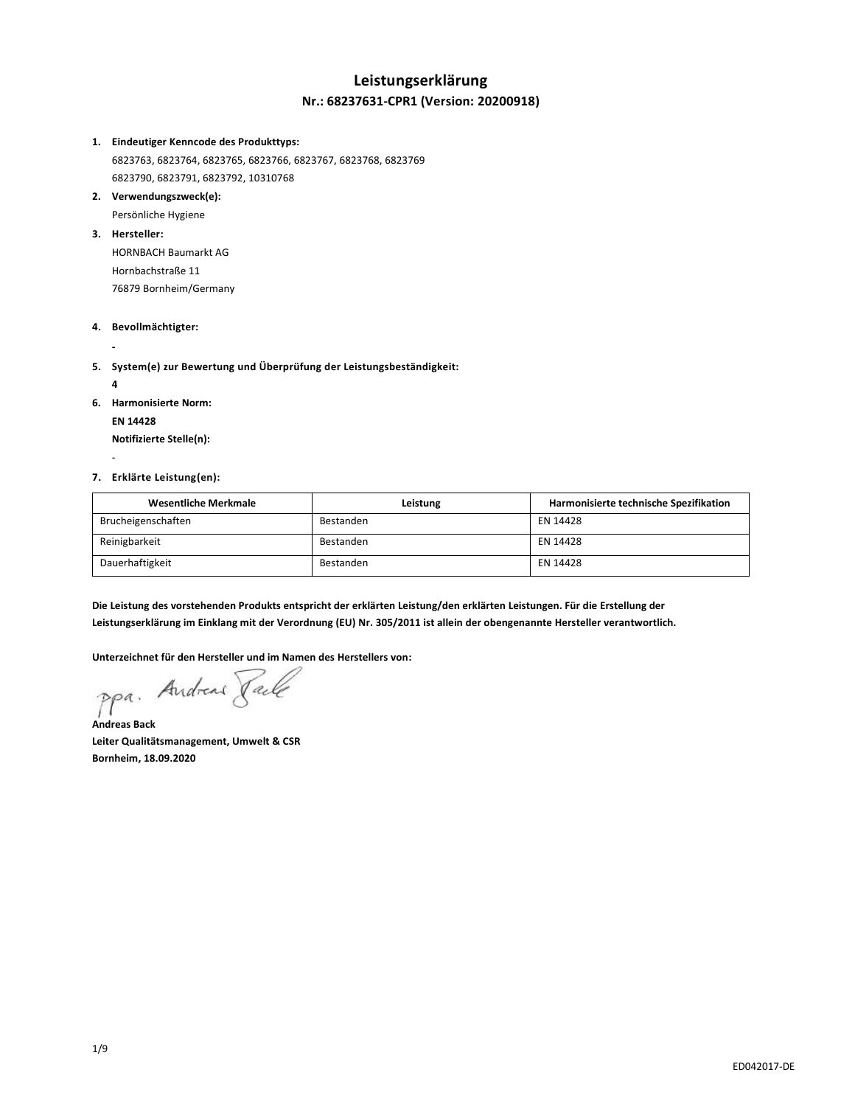### **Leistungserklärung Nr.: 68237631-CPR1 (Version: 20200918)**

#### **1. Eindeutiger Kenncode des Produkttyps:**

6823763, 6823764, 6823765, 6823766, 6823767, 6823768, 6823769 6823790, 6823791, 6823792, 10310768

### **2. Verwendungszweck(e):**

Persönliche Hygiene

#### **3. Hersteller:**

HORNBACH Baumarkt AG Hornbachstraße 11 76879 Bornheim/Germany

#### **4. Bevollmächtigter:**

**5. System(e) zur Bewertung und Überprüfung der Leistungsbeständigkeit:**

**4**

-

**-**

**6. Harmonisierte Norm:**

**EN 14428**

**Notifizierte Stelle(n):**

### **7. Erklärte Leistung(en):**

| <b>Wesentliche Merkmale</b> | Leistung  | Harmonisierte technische Spezifikation |
|-----------------------------|-----------|----------------------------------------|
| Brucheigenschaften          | Bestanden | EN 14428                               |
| Reinigbarkeit               | Bestanden | EN 14428                               |
| Dauerhaftigkeit             | Bestanden | EN 14428                               |

**Die Leistung des vorstehenden Produkts entspricht der erklärten Leistung/den erklärten Leistungen. Für die Erstellung der Leistungserklärung im Einklang mit der Verordnung (EU) Nr. 305/2011 ist allein der obengenannte Hersteller verantwortlich.**

**Unterzeichnet für den Hersteller und im Namen des Herstellers von:**

Andreas Jack  $PP<sup>a</sup>$ .

**Andreas Back Leiter Qualitätsmanagement, Umwelt & CSR Bornheim, 18.09.2020**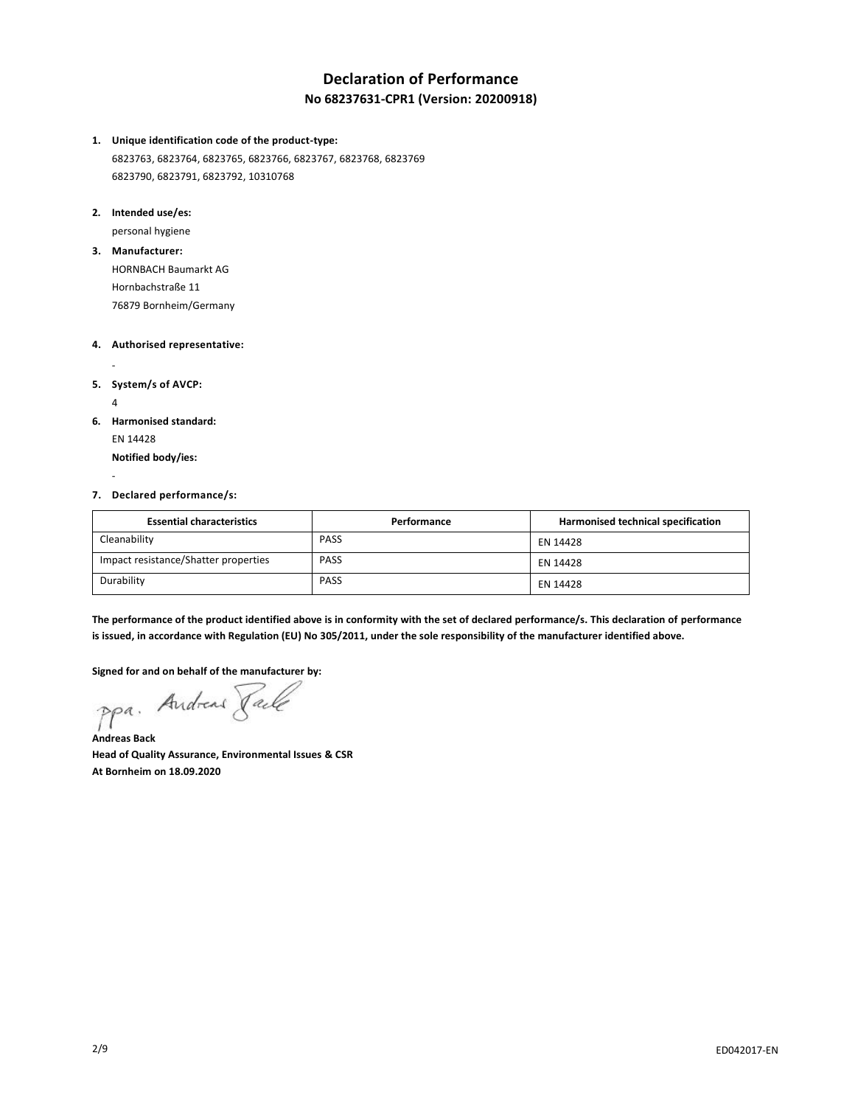# **Declaration of Performance No 68237631-CPR1 (Version: 20200918)**

- **1. Unique identification code of the product-type:** 6823763, 6823764, 6823765, 6823766, 6823767, 6823768, 6823769 6823790, 6823791, 6823792, 10310768
- **2. Intended use/es:**

personal hygiene

**3. Manufacturer:**

HORNBACH Baumarkt AG Hornbachstraße 11 76879 Bornheim/Germany

- **4. Authorised representative:**
- **5. System/s of AVCP:**

4

-

-

**6. Harmonised standard:**

EN 14428

**Notified body/ies:**

**7. Declared performance/s:**

| <b>Essential characteristics</b>     | Performance | Harmonised technical specification |
|--------------------------------------|-------------|------------------------------------|
| Cleanability                         | <b>PASS</b> | EN 14428                           |
| Impact resistance/Shatter properties | <b>PASS</b> | EN 14428                           |
| Durability                           | <b>PASS</b> | EN 14428                           |

**The performance of the product identified above is in conformity with the set of declared performance/s. This declaration of performance is issued, in accordance with Regulation (EU) No 305/2011, under the sole responsibility of the manufacturer identified above.**

**Signed for and on behalf of the manufacturer by:**<br>PPa. Andread *Jack* 

**Andreas Back Head of Quality Assurance, Environmental Issues & CSR At Bornheim on 18.09.2020**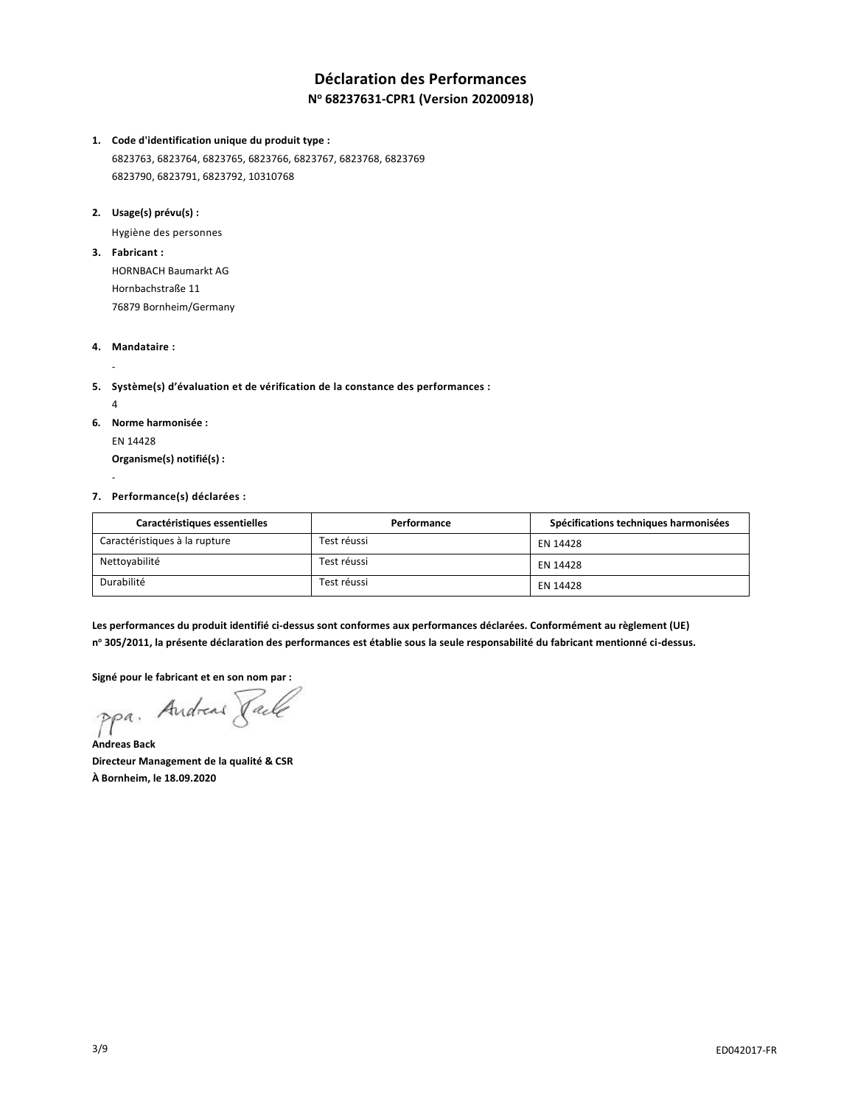## **Déclaration des Performances N <sup>o</sup> 68237631-CPR1 (Version 20200918)**

**1. Code d'identification unique du produit type :**

6823763, 6823764, 6823765, 6823766, 6823767, 6823768, 6823769 6823790, 6823791, 6823792, 10310768

**2. Usage(s) prévu(s) :**

Hygiène des personnes

**3. Fabricant :**

HORNBACH Baumarkt AG Hornbachstraße 11 76879 Bornheim/Germany

**4. Mandataire :**

**5. Système(s) d'évaluation et de vérification de la constance des performances :**

4

-

-

- **6. Norme harmonisée :**
	- EN 14428 **Organisme(s) notifié(s) :**
- **7. Performance(s) déclarées :**

| Caractéristiques essentielles | Performance | Spécifications techniques harmonisées |
|-------------------------------|-------------|---------------------------------------|
| Caractéristiques à la rupture | Test réussi | EN 14428                              |
| Nettoyabilité                 | Test réussi | EN 14428                              |
| Durabilité                    | Test réussi | EN 14428                              |

**Les performances du produit identifié ci-dessus sont conformes aux performances déclarées. Conformément au règlement (UE) n <sup>o</sup> 305/2011, la présente déclaration des performances est établie sous la seule responsabilité du fabricant mentionné ci-dessus.**

**Signé pour le fabricant et en son nom par :**

ppa. Andread Fack

**Andreas Back Directeur Management de la qualité & CSR À Bornheim, le 18.09.2020**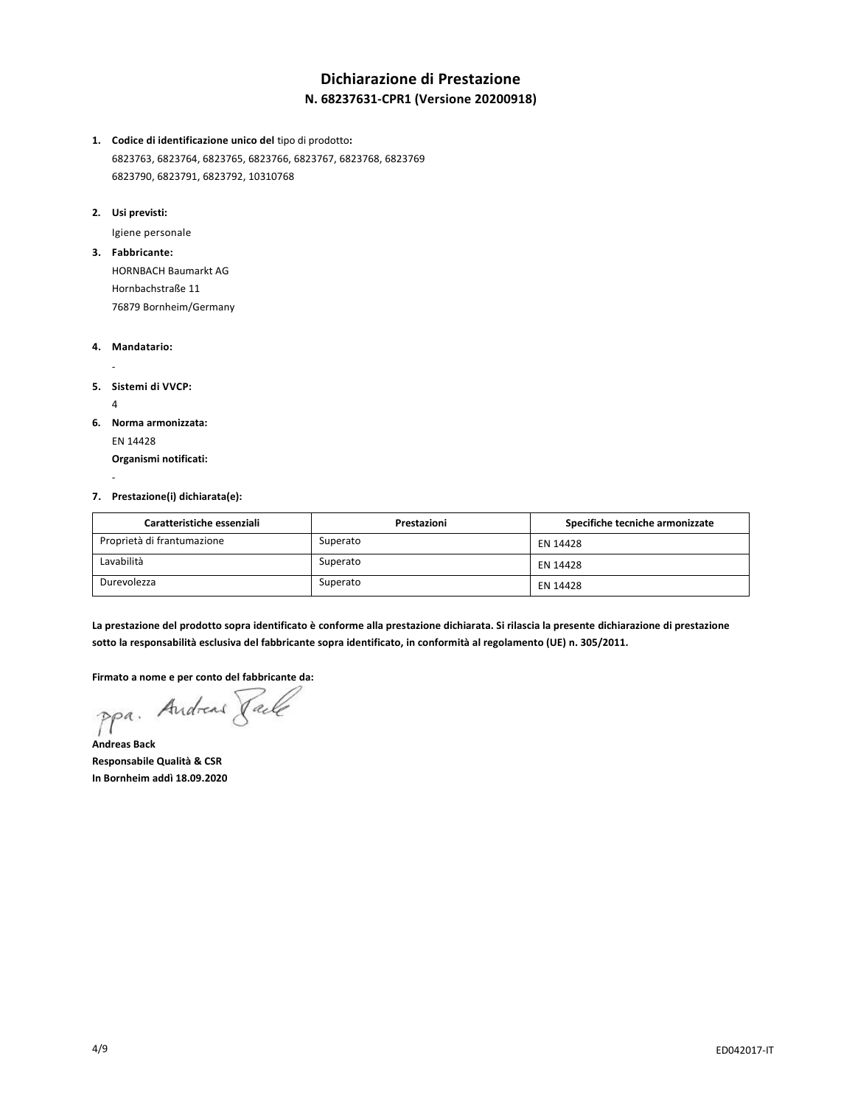# **Dichiarazione di Prestazione N. 68237631-CPR1 (Versione 20200918)**

- **1. Codice di identificazione unico del** tipo di prodotto**:** 6823763, 6823764, 6823765, 6823766, 6823767, 6823768, 6823769 6823790, 6823791, 6823792, 10310768
- **2. Usi previsti:**

Igiene personale

**3. Fabbricante:** HORNBACH Baumarkt AG Hornbachstraße 11

76879 Bornheim/Germany

- **4. Mandatario:**
- **5. Sistemi di VVCP:**

4

-

-

**6. Norma armonizzata:**

EN 14428

**Organismi notificati:**

**7. Prestazione(i) dichiarata(e):**

| Caratteristiche essenziali | Prestazioni | Specifiche tecniche armonizzate |
|----------------------------|-------------|---------------------------------|
| Proprietà di frantumazione | Superato    | EN 14428                        |
| Lavabilità                 | Superato    | EN 14428                        |
| Durevolezza                | Superato    | EN 14428                        |

**La prestazione del prodotto sopra identificato è conforme alla prestazione dichiarata. Si rilascia la presente dichiarazione di prestazione sotto la responsabilità esclusiva del fabbricante sopra identificato, in conformità al regolamento (UE) n. 305/2011.**

**Firmato a nome e per conto del fabbricante da:**

**Andreas Back Responsabile Qualità & CSR In Bornheim addì 18.09.2020**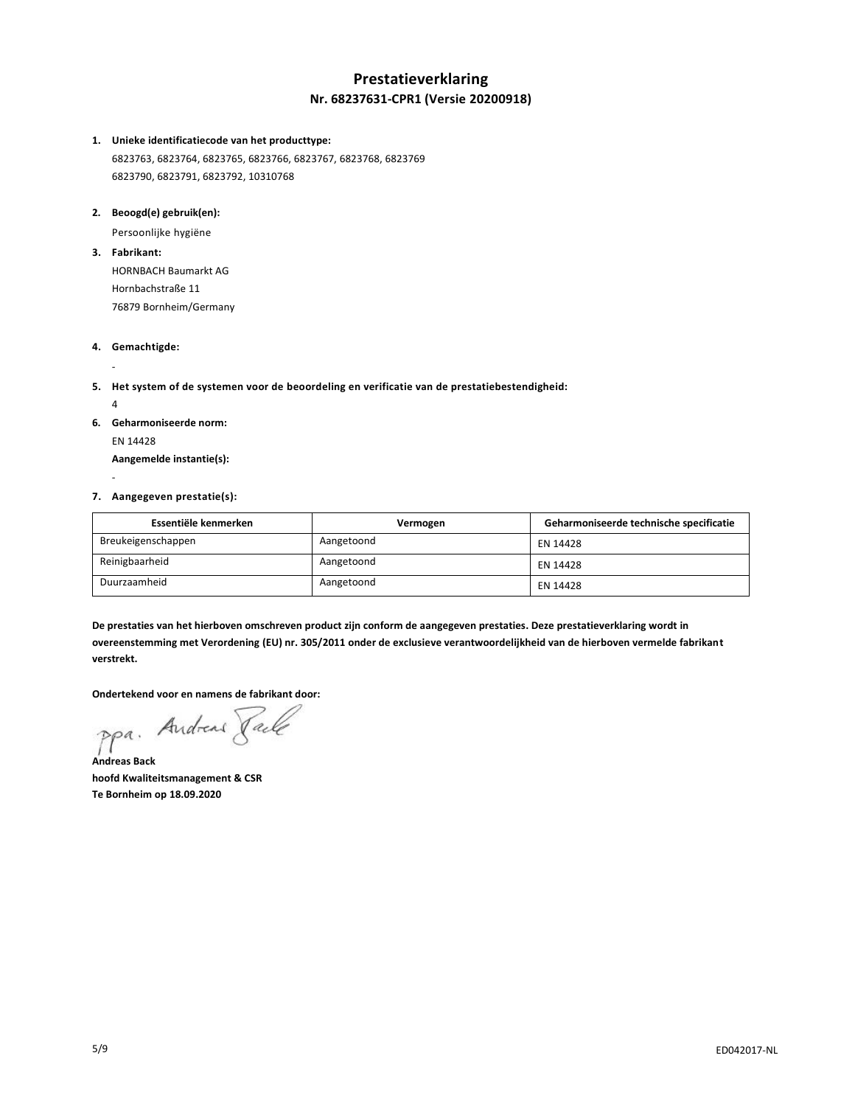## **Prestatieverklaring Nr. 68237631-CPR1 (Versie 20200918)**

#### **1. Unieke identificatiecode van het producttype:**

6823763, 6823764, 6823765, 6823766, 6823767, 6823768, 6823769 6823790, 6823791, 6823792, 10310768

#### **2. Beoogd(e) gebruik(en):**

Persoonlijke hygiëne

**3. Fabrikant:**

HORNBACH Baumarkt AG Hornbachstraße 11 76879 Bornheim/Germany

- **4. Gemachtigde:**
- **5. Het system of de systemen voor de beoordeling en verificatie van de prestatiebestendigheid:**
	- 4

-

-

- **6. Geharmoniseerde norm:**
	- EN 14428 **Aangemelde instantie(s):**
- **7. Aangegeven prestatie(s):**

| Essentiële kenmerken | Vermogen   | Geharmoniseerde technische specificatie |
|----------------------|------------|-----------------------------------------|
| Breukeigenschappen   | Aangetoond | EN 14428                                |
| Reinigbaarheid       | Aangetoond | EN 14428                                |
| Duurzaamheid         | Aangetoond | EN 14428                                |

**De prestaties van het hierboven omschreven product zijn conform de aangegeven prestaties. Deze prestatieverklaring wordt in overeenstemming met Verordening (EU) nr. 305/2011 onder de exclusieve verantwoordelijkheid van de hierboven vermelde fabrikant verstrekt.**

**Ondertekend voor en namens de fabrikant door:**

**Andreas Back hoofd Kwaliteitsmanagement & CSR Te Bornheim op 18.09.2020**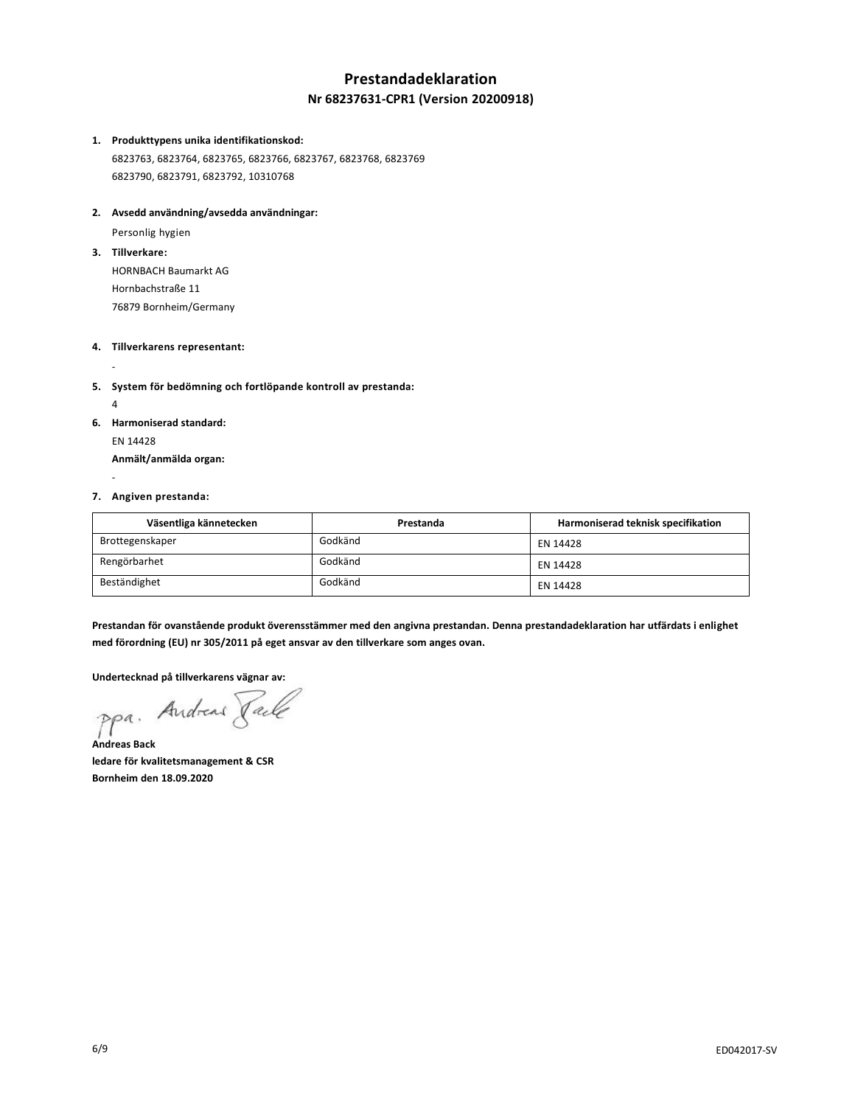## **Prestandadeklaration Nr 68237631-CPR1 (Version 20200918)**

#### **1. Produkttypens unika identifikationskod:**

6823763, 6823764, 6823765, 6823766, 6823767, 6823768, 6823769 6823790, 6823791, 6823792, 10310768

#### **2. Avsedd användning/avsedda användningar:**

Personlig hygien

**3. Tillverkare:**

HORNBACH Baumarkt AG Hornbachstraße 11 76879 Bornheim/Germany

### **4. Tillverkarens representant:**

- **5. System för bedömning och fortlöpande kontroll av prestanda:**
	- 4

-

-

- **6. Harmoniserad standard:**
	- EN 14428 **Anmält/anmälda organ:**

#### **7. Angiven prestanda:**

| Väsentliga kännetecken | Prestanda | Harmoniserad teknisk specifikation |
|------------------------|-----------|------------------------------------|
| Brottegenskaper        | Godkänd   | EN 14428                           |
| Rengörbarhet           | Godkänd   | EN 14428                           |
| Beständighet           | Godkänd   | EN 14428                           |

**Prestandan för ovanstående produkt överensstämmer med den angivna prestandan. Denna prestandadeklaration har utfärdats i enlighet med förordning (EU) nr 305/2011 på eget ansvar av den tillverkare som anges ovan.**

**Undertecknad på tillverkarens vägnar av:**

ppa. Andrew Pale

**Andreas Back ledare för kvalitetsmanagement & CSR Bornheim den 18.09.2020**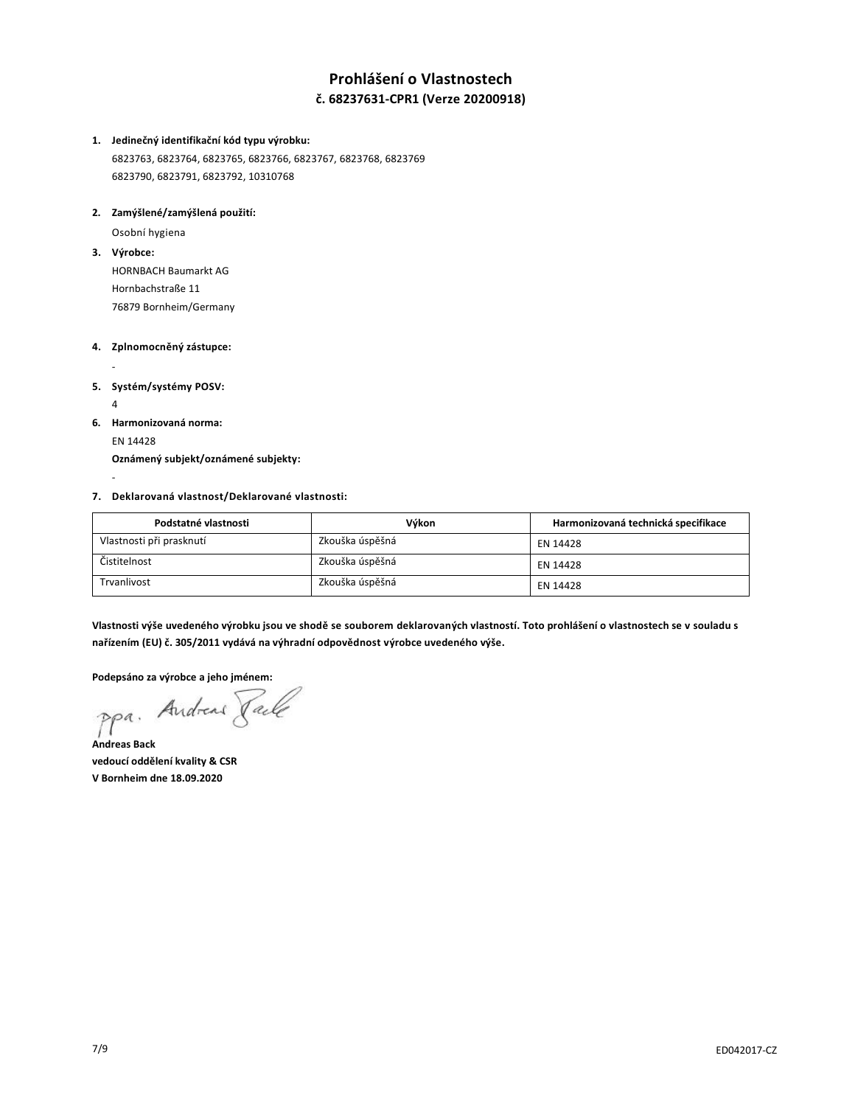# **Prohlášení o Vlastnostech č. 68237631-CPR1 (Verze 20200918)**

### **1. Jedinečný identifikační kód typu výrobku:** 6823763, 6823764, 6823765, 6823766, 6823767, 6823768, 6823769

6823790, 6823791, 6823792, 10310768

### **2. Zamýšlené/zamýšlená použití:**

Osobní hygiena

**3. Výrobce:**

HORNBACH Baumarkt AG Hornbachstraße 11 76879 Bornheim/Germany

### **4. Zplnomocněný zástupce:**

### **5. Systém/systémy POSV:**

4

-

-

**6. Harmonizovaná norma:**

EN 14428

**Oznámený subjekt/oznámené subjekty:**

### **7. Deklarovaná vlastnost/Deklarované vlastnosti:**

| Podstatné vlastnosti     | Výkon           | Harmonizovaná technická specifikace |
|--------------------------|-----------------|-------------------------------------|
| Vlastnosti při prasknutí | Zkouška úspěšná | EN 14428                            |
| Čistitelnost             | Zkouška úspěšná | EN 14428                            |
| Trvanlivost              | Zkouška úspěšná | EN 14428                            |

**Vlastnosti výše uvedeného výrobku jsou ve shodě se souborem deklarovaných vlastností. Toto prohlášení o vlastnostech se v souladu s nařízením (EU) č. 305/2011 vydává na výhradní odpovědnost výrobce uvedeného výše.**

**Podepsáno za výrobce a jeho jménem:**

ppa. Andreas Paile

**Andreas Back vedoucí oddělení kvality & CSR V Bornheim dne 18.09.2020**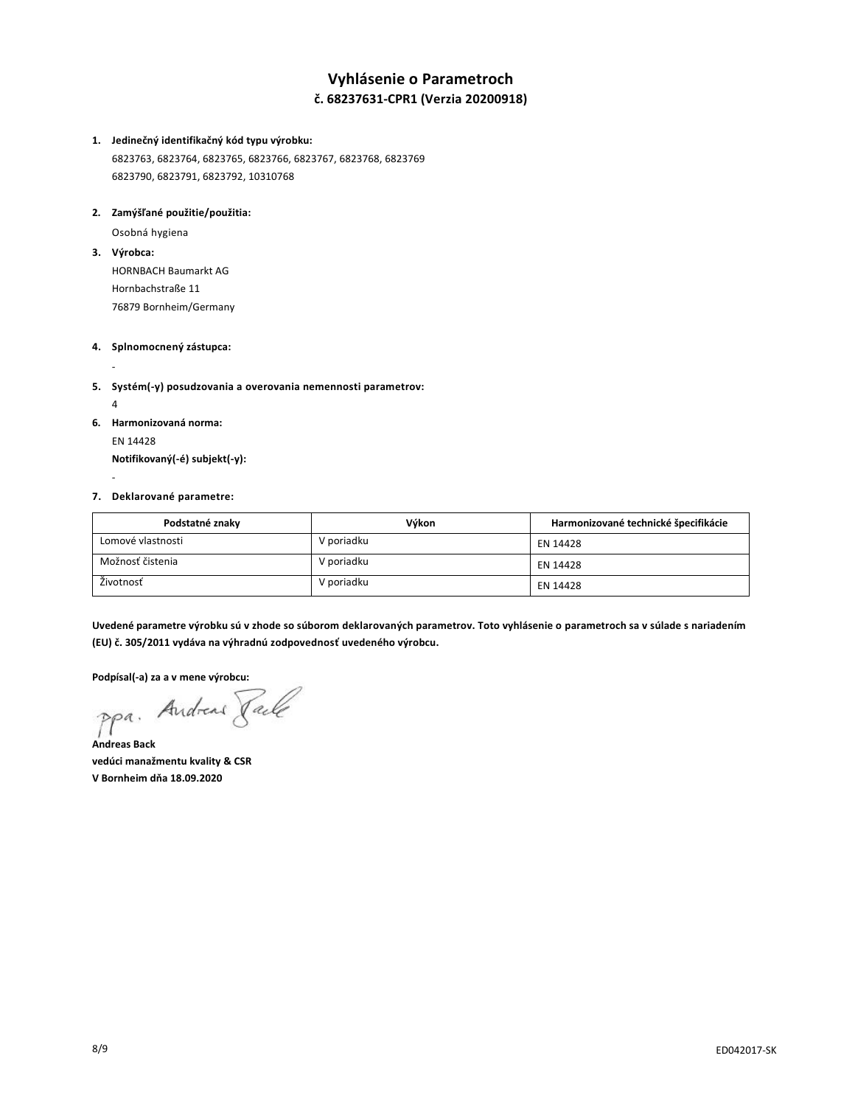# **Vyhlásenie o Parametroch č. 68237631-CPR1 (Verzia 20200918)**

# **1. Jedinečný identifikačný kód typu výrobku:**

6823763, 6823764, 6823765, 6823766, 6823767, 6823768, 6823769 6823790, 6823791, 6823792, 10310768

### **2. Zamýšľané použitie/použitia:**

Osobná hygiena

**3. Výrobca:**

HORNBACH Baumarkt AG Hornbachstraße 11 76879 Bornheim/Germany

### **4. Splnomocnený zástupca:**

- **5. Systém(-y) posudzovania a overovania nemennosti parametrov:**
	- 4

-

-

- **6. Harmonizovaná norma:**
	- EN 14428 **Notifikovaný(-é) subjekt(-y):**

#### **7. Deklarované parametre:**

| Podstatné znaky   | Výkon      | Harmonizované technické špecifikácie |
|-------------------|------------|--------------------------------------|
| Lomové vlastnosti | V poriadku | EN 14428                             |
| Možnosť čistenia  | V poriadku | EN 14428                             |
| Životnosť         | V poriadku | EN 14428                             |

**Uvedené parametre výrobku sú v zhode so súborom deklarovaných parametrov. Toto vyhlásenie o parametroch sa v súlade s nariadením (EU) č. 305/2011 vydáva na výhradnú zodpovednosť uvedeného výrobcu.**

**Podpísal(-a) za a v mene výrobcu:**

**Andreas Back vedúci manažmentu kvality & CSR V Bornheim dňa 18.09.2020**